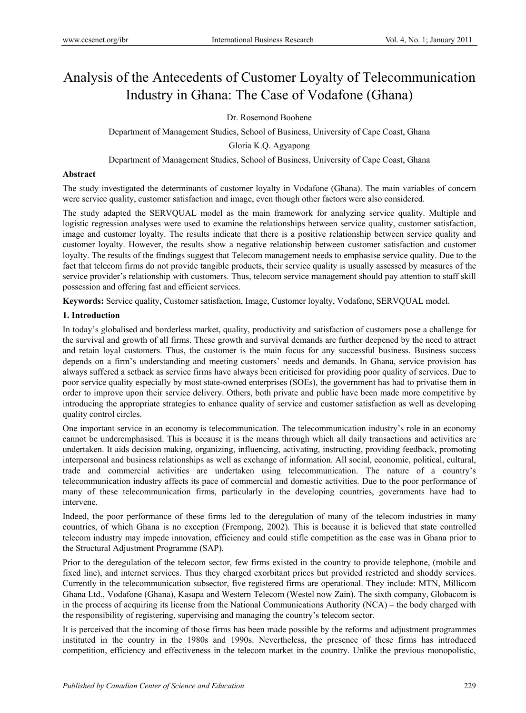# Analysis of the Antecedents of Customer Loyalty of Telecommunication Industry in Ghana: The Case of Vodafone (Ghana)

Dr. Rosemond Boohene

Department of Management Studies, School of Business, University of Cape Coast, Ghana

Gloria K.Q. Agyapong

Department of Management Studies, School of Business, University of Cape Coast, Ghana

# **Abstract**

The study investigated the determinants of customer loyalty in Vodafone (Ghana). The main variables of concern were service quality, customer satisfaction and image, even though other factors were also considered.

The study adapted the SERVQUAL model as the main framework for analyzing service quality. Multiple and logistic regression analyses were used to examine the relationships between service quality, customer satisfaction, image and customer loyalty. The results indicate that there is a positive relationship between service quality and customer loyalty. However, the results show a negative relationship between customer satisfaction and customer loyalty. The results of the findings suggest that Telecom management needs to emphasise service quality. Due to the fact that telecom firms do not provide tangible products, their service quality is usually assessed by measures of the service provider's relationship with customers. Thus, telecom service management should pay attention to staff skill possession and offering fast and efficient services.

**Keywords:** Service quality, Customer satisfaction, Image, Customer loyalty, Vodafone, SERVQUAL model.

# **1. Introduction**

In today's globalised and borderless market, quality, productivity and satisfaction of customers pose a challenge for the survival and growth of all firms. These growth and survival demands are further deepened by the need to attract and retain loyal customers. Thus, the customer is the main focus for any successful business. Business success depends on a firm's understanding and meeting customers' needs and demands. In Ghana, service provision has always suffered a setback as service firms have always been criticised for providing poor quality of services. Due to poor service quality especially by most state-owned enterprises (SOEs), the government has had to privatise them in order to improve upon their service delivery. Others, both private and public have been made more competitive by introducing the appropriate strategies to enhance quality of service and customer satisfaction as well as developing quality control circles.

One important service in an economy is telecommunication. The telecommunication industry's role in an economy cannot be underemphasised. This is because it is the means through which all daily transactions and activities are undertaken. It aids decision making, organizing, influencing, activating, instructing, providing feedback, promoting interpersonal and business relationships as well as exchange of information. All social, economic, political, cultural, trade and commercial activities are undertaken using telecommunication. The nature of a country's telecommunication industry affects its pace of commercial and domestic activities. Due to the poor performance of many of these telecommunication firms, particularly in the developing countries, governments have had to intervene.

Indeed, the poor performance of these firms led to the deregulation of many of the telecom industries in many countries, of which Ghana is no exception (Frempong, 2002). This is because it is believed that state controlled telecom industry may impede innovation, efficiency and could stifle competition as the case was in Ghana prior to the Structural Adjustment Programme (SAP).

Prior to the deregulation of the telecom sector, few firms existed in the country to provide telephone, (mobile and fixed line), and internet services. Thus they charged exorbitant prices but provided restricted and shoddy services. Currently in the telecommunication subsector, five registered firms are operational. They include: MTN, Millicom Ghana Ltd., Vodafone (Ghana), Kasapa and Western Telecom (Westel now Zain). The sixth company, Globacom is in the process of acquiring its license from the National Communications Authority (NCA) – the body charged with the responsibility of registering, supervising and managing the country's telecom sector.

It is perceived that the incoming of those firms has been made possible by the reforms and adjustment programmes instituted in the country in the 1980s and 1990s. Nevertheless, the presence of these firms has introduced competition, efficiency and effectiveness in the telecom market in the country. Unlike the previous monopolistic,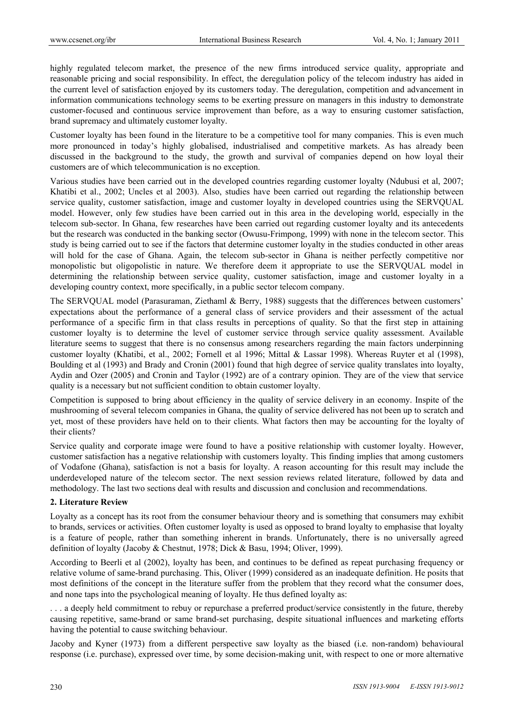highly regulated telecom market, the presence of the new firms introduced service quality, appropriate and reasonable pricing and social responsibility. In effect, the deregulation policy of the telecom industry has aided in the current level of satisfaction enjoyed by its customers today. The deregulation, competition and advancement in information communications technology seems to be exerting pressure on managers in this industry to demonstrate customer-focused and continuous service improvement than before, as a way to ensuring customer satisfaction, brand supremacy and ultimately customer loyalty.

Customer loyalty has been found in the literature to be a competitive tool for many companies. This is even much more pronounced in today's highly globalised, industrialised and competitive markets. As has already been discussed in the background to the study, the growth and survival of companies depend on how loyal their customers are of which telecommunication is no exception.

Various studies have been carried out in the developed countries regarding customer loyalty (Ndubusi et al, 2007; Khatibi et al., 2002; Uncles et al 2003). Also, studies have been carried out regarding the relationship between service quality, customer satisfaction, image and customer loyalty in developed countries using the SERVQUAL model. However, only few studies have been carried out in this area in the developing world, especially in the telecom sub-sector. In Ghana, few researches have been carried out regarding customer loyalty and its antecedents but the research was conducted in the banking sector (Owusu-Frimpong, 1999) with none in the telecom sector. This study is being carried out to see if the factors that determine customer loyalty in the studies conducted in other areas will hold for the case of Ghana. Again, the telecom sub-sector in Ghana is neither perfectly competitive nor monopolistic but oligopolistic in nature. We therefore deem it appropriate to use the SERVQUAL model in determining the relationship between service quality, customer satisfaction, image and customer loyalty in a developing country context, more specifically, in a public sector telecom company.

The SERVQUAL model (Parasuraman, Ziethaml & Berry, 1988) suggests that the differences between customers' expectations about the performance of a general class of service providers and their assessment of the actual performance of a specific firm in that class results in perceptions of quality. So that the first step in attaining customer loyalty is to determine the level of customer service through service quality assessment. Available literature seems to suggest that there is no consensus among researchers regarding the main factors underpinning customer loyalty (Khatibi, et al., 2002; Fornell et al 1996; Mittal & Lassar 1998). Whereas Ruyter et al (1998), Boulding et al (1993) and Brady and Cronin (2001) found that high degree of service quality translates into loyalty, Aydin and Ozer (2005) and Cronin and Taylor (1992) are of a contrary opinion. They are of the view that service quality is a necessary but not sufficient condition to obtain customer loyalty.

Competition is supposed to bring about efficiency in the quality of service delivery in an economy. Inspite of the mushrooming of several telecom companies in Ghana, the quality of service delivered has not been up to scratch and yet, most of these providers have held on to their clients. What factors then may be accounting for the loyalty of their clients?

Service quality and corporate image were found to have a positive relationship with customer loyalty. However, customer satisfaction has a negative relationship with customers loyalty. This finding implies that among customers of Vodafone (Ghana), satisfaction is not a basis for loyalty. A reason accounting for this result may include the underdeveloped nature of the telecom sector. The next session reviews related literature, followed by data and methodology. The last two sections deal with results and discussion and conclusion and recommendations.

#### **2. Literature Review**

Loyalty as a concept has its root from the consumer behaviour theory and is something that consumers may exhibit to brands, services or activities. Often customer loyalty is used as opposed to brand loyalty to emphasise that loyalty is a feature of people, rather than something inherent in brands. Unfortunately, there is no universally agreed definition of loyalty (Jacoby & Chestnut, 1978; Dick & Basu, 1994; Oliver, 1999).

According to Beerli et al (2002), loyalty has been, and continues to be defined as repeat purchasing frequency or relative volume of same-brand purchasing. This, Oliver (1999) considered as an inadequate definition. He posits that most definitions of the concept in the literature suffer from the problem that they record what the consumer does, and none taps into the psychological meaning of loyalty. He thus defined loyalty as:

. . . a deeply held commitment to rebuy or repurchase a preferred product/service consistently in the future, thereby causing repetitive, same-brand or same brand-set purchasing, despite situational influences and marketing efforts having the potential to cause switching behaviour.

Jacoby and Kyner (1973) from a different perspective saw loyalty as the biased (i.e. non-random) behavioural response (i.e. purchase), expressed over time, by some decision-making unit, with respect to one or more alternative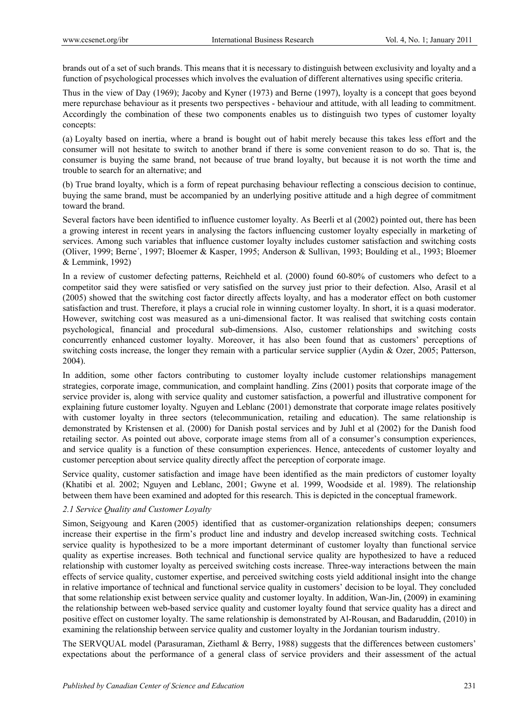brands out of a set of such brands. This means that it is necessary to distinguish between exclusivity and loyalty and a function of psychological processes which involves the evaluation of different alternatives using specific criteria.

Thus in the view of Day (1969); Jacoby and Kyner (1973) and Berne (1997), loyalty is a concept that goes beyond mere repurchase behaviour as it presents two perspectives - behaviour and attitude, with all leading to commitment. Accordingly the combination of these two components enables us to distinguish two types of customer loyalty concepts:

(a) Loyalty based on inertia, where a brand is bought out of habit merely because this takes less effort and the consumer will not hesitate to switch to another brand if there is some convenient reason to do so. That is, the consumer is buying the same brand, not because of true brand loyalty, but because it is not worth the time and trouble to search for an alternative; and

(b) True brand loyalty, which is a form of repeat purchasing behaviour reflecting a conscious decision to continue, buying the same brand, must be accompanied by an underlying positive attitude and a high degree of commitment toward the brand.

Several factors have been identified to influence customer loyalty. As Beerli et al (2002) pointed out, there has been a growing interest in recent years in analysing the factors influencing customer loyalty especially in marketing of services. Among such variables that influence customer loyalty includes customer satisfaction and switching costs (Oliver, 1999; Berne´, 1997; Bloemer & Kasper, 1995; Anderson & Sullivan, 1993; Boulding et al., 1993; Bloemer & Lemmink, 1992)

In a review of customer defecting patterns, Reichheld et al. (2000) found 60-80% of customers who defect to a competitor said they were satisfied or very satisfied on the survey just prior to their defection. Also, Arasil et al (2005) showed that the switching cost factor directly affects loyalty, and has a moderator effect on both customer satisfaction and trust. Therefore, it plays a crucial role in winning customer loyalty. In short, it is a quasi moderator. However, switching cost was measured as a uni-dimensional factor. It was realised that switching costs contain psychological, financial and procedural sub-dimensions. Also, customer relationships and switching costs concurrently enhanced customer loyalty. Moreover, it has also been found that as customers' perceptions of switching costs increase, the longer they remain with a particular service supplier (Aydin & Ozer, 2005; Patterson, 2004).

In addition, some other factors contributing to customer loyalty include customer relationships management strategies, corporate image, communication, and complaint handling. Zins (2001) posits that corporate image of the service provider is, along with service quality and customer satisfaction, a powerful and illustrative component for explaining future customer loyalty. Nguyen and Leblanc (2001) demonstrate that corporate image relates positively with customer loyalty in three sectors (telecommunication, retailing and education). The same relationship is demonstrated by Kristensen et al. (2000) for Danish postal services and by Juhl et al (2002) for the Danish food retailing sector. As pointed out above, corporate image stems from all of a consumer's consumption experiences, and service quality is a function of these consumption experiences. Hence, antecedents of customer loyalty and customer perception about service quality directly affect the perception of corporate image.

Service quality, customer satisfaction and image have been identified as the main predictors of customer loyalty (Khatibi et al. 2002; Nguyen and Leblanc, 2001; Gwyne et al. 1999, Woodside et al. 1989). The relationship between them have been examined and adopted for this research. This is depicted in the conceptual framework.

## *2.1 Service Quality and Customer Loyalty*

Simon, Seigyoung and Karen (2005) identified that as customer-organization relationships deepen; consumers increase their expertise in the firm's product line and industry and develop increased switching costs. Technical service quality is hypothesized to be a more important determinant of customer loyalty than functional service quality as expertise increases. Both technical and functional service quality are hypothesized to have a reduced relationship with customer loyalty as perceived switching costs increase. Three-way interactions between the main effects of service quality, customer expertise, and perceived switching costs yield additional insight into the change in relative importance of technical and functional service quality in customers' decision to be loyal. They concluded that some relationship exist between service quality and customer loyalty. In addition, Wan-Jin, (2009) in examining the relationship between web-based service quality and customer loyalty found that service quality has a direct and positive effect on customer loyalty. The same relationship is demonstrated by Al-Rousan, and Badaruddin, (2010) in examining the relationship between service quality and customer loyalty in the Jordanian tourism industry.

The SERVQUAL model (Parasuraman, Ziethaml & Berry, 1988) suggests that the differences between customers' expectations about the performance of a general class of service providers and their assessment of the actual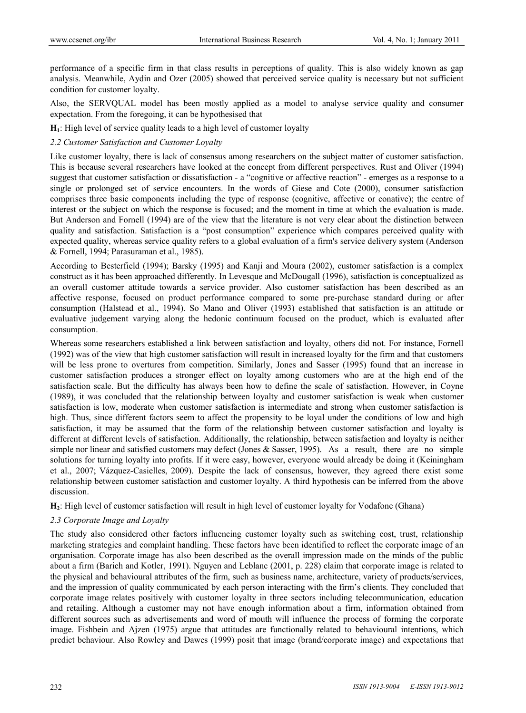performance of a specific firm in that class results in perceptions of quality. This is also widely known as gap analysis. Meanwhile, Aydin and Ozer (2005) showed that perceived service quality is necessary but not sufficient condition for customer loyalty.

Also, the SERVQUAL model has been mostly applied as a model to analyse service quality and consumer expectation. From the foregoing, it can be hypothesised that

**H1**: High level of service quality leads to a high level of customer loyalty

## *2.2 Customer Satisfaction and Customer Loyalty*

Like customer loyalty, there is lack of consensus among researchers on the subject matter of customer satisfaction. This is because several researchers have looked at the concept from different perspectives. Rust and Oliver (1994) suggest that customer satisfaction or dissatisfaction - a "cognitive or affective reaction" - emerges as a response to a single or prolonged set of service encounters. In the words of Giese and Cote (2000), consumer satisfaction comprises three basic components including the type of response (cognitive, affective or conative); the centre of interest or the subject on which the response is focused; and the moment in time at which the evaluation is made. But Anderson and Fornell (1994) are of the view that the literature is not very clear about the distinction between quality and satisfaction. Satisfaction is a "post consumption" experience which compares perceived quality with expected quality, whereas service quality refers to a global evaluation of a firm's service delivery system (Anderson & Fornell, 1994; Parasuraman et al., 1985).

According to Besterfield (1994); Barsky (1995) and Kanji and Moura (2002), customer satisfaction is a complex construct as it has been approached differently. In Levesque and McDougall (1996), satisfaction is conceptualized as an overall customer attitude towards a service provider. Also customer satisfaction has been described as an affective response, focused on product performance compared to some pre-purchase standard during or after consumption (Halstead et al., 1994). So Mano and Oliver (1993) established that satisfaction is an attitude or evaluative judgement varying along the hedonic continuum focused on the product, which is evaluated after consumption.

Whereas some researchers established a link between satisfaction and loyalty, others did not. For instance, Fornell (1992) was of the view that high customer satisfaction will result in increased loyalty for the firm and that customers will be less prone to overtures from competition. Similarly, Jones and Sasser (1995) found that an increase in customer satisfaction produces a stronger effect on loyalty among customers who are at the high end of the satisfaction scale. But the difficulty has always been how to define the scale of satisfaction. However, in Coyne (1989), it was concluded that the relationship between loyalty and customer satisfaction is weak when customer satisfaction is low, moderate when customer satisfaction is intermediate and strong when customer satisfaction is high. Thus, since different factors seem to affect the propensity to be loyal under the conditions of low and high satisfaction, it may be assumed that the form of the relationship between customer satisfaction and loyalty is different at different levels of satisfaction. Additionally, the relationship, between satisfaction and loyalty is neither simple nor linear and satisfied customers may defect (Jones & Sasser, 1995). As a result, there are no simple solutions for turning loyalty into profits. If it were easy, however, everyone would already be doing it (Keiningham et al., 2007; Vázquez-Casielles, 2009). Despite the lack of consensus, however, they agreed there exist some relationship between customer satisfaction and customer loyalty. A third hypothesis can be inferred from the above discussion.

**H2**: High level of customer satisfaction will result in high level of customer loyalty for Vodafone (Ghana)

## *2.3 Corporate Image and Loyalty*

The study also considered other factors influencing customer loyalty such as switching cost, trust, relationship marketing strategies and complaint handling. These factors have been identified to reflect the corporate image of an organisation. Corporate image has also been described as the overall impression made on the minds of the public about a firm (Barich and Kotler, 1991). Nguyen and Leblanc (2001, p. 228) claim that corporate image is related to the physical and behavioural attributes of the firm, such as business name, architecture, variety of products/services, and the impression of quality communicated by each person interacting with the firm's clients. They concluded that corporate image relates positively with customer loyalty in three sectors including telecommunication, education and retailing. Although a customer may not have enough information about a firm, information obtained from different sources such as advertisements and word of mouth will influence the process of forming the corporate image. Fishbein and Ajzen (1975) argue that attitudes are functionally related to behavioural intentions, which predict behaviour. Also Rowley and Dawes (1999) posit that image (brand/corporate image) and expectations that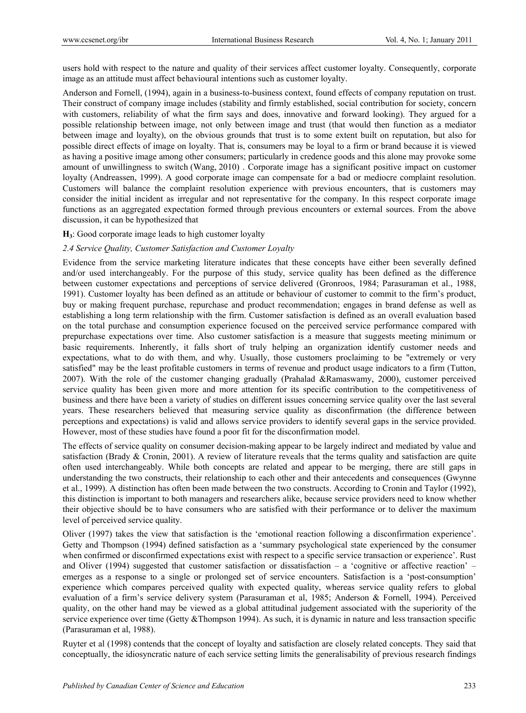users hold with respect to the nature and quality of their services affect customer loyalty. Consequently, corporate image as an attitude must affect behavioural intentions such as customer loyalty.

Anderson and Fornell, (1994), again in a business-to-business context, found effects of company reputation on trust. Their construct of company image includes (stability and firmly established, social contribution for society, concern with customers, reliability of what the firm says and does, innovative and forward looking). They argued for a possible relationship between image, not only between image and trust (that would then function as a mediator between image and loyalty), on the obvious grounds that trust is to some extent built on reputation, but also for possible direct effects of image on loyalty. That is, consumers may be loyal to a firm or brand because it is viewed as having a positive image among other consumers; particularly in credence goods and this alone may provoke some amount of unwillingness to switch (Wang, 2010) . Corporate image has a significant positive impact on customer loyalty (Andreassen, 1999). A good corporate image can compensate for a bad or mediocre complaint resolution. Customers will balance the complaint resolution experience with previous encounters, that is customers may consider the initial incident as irregular and not representative for the company. In this respect corporate image functions as an aggregated expectation formed through previous encounters or external sources. From the above discussion, it can be hypothesized that

## **H3**: Good corporate image leads to high customer loyalty

#### *2.4 Service Quality, Customer Satisfaction and Customer Loyalty*

Evidence from the service marketing literature indicates that these concepts have either been severally defined and/or used interchangeably. For the purpose of this study, service quality has been defined as the difference between customer expectations and perceptions of service delivered (Gronroos, 1984; Parasuraman et al., 1988, 1991). Customer loyalty has been defined as an attitude or behaviour of customer to commit to the firm's product, buy or making frequent purchase, repurchase and product recommendation; engages in brand defense as well as establishing a long term relationship with the firm. Customer satisfaction is defined as an overall evaluation based on the total purchase and consumption experience focused on the perceived service performance compared with prepurchase expectations over time. Also customer satisfaction is a measure that suggests meeting minimum or basic requirements. Inherently, it falls short of truly helping an organization identify customer needs and expectations, what to do with them, and why. Usually, those customers proclaiming to be "extremely or very satisfied" may be the least profitable customers in terms of revenue and product usage indicators to a firm (Tutton, 2007). With the role of the customer changing gradually (Prahalad &Ramaswamy, 2000), customer perceived service quality has been given more and more attention for its specific contribution to the competitiveness of business and there have been a variety of studies on different issues concerning service quality over the last several years. These researchers believed that measuring service quality as disconfirmation (the difference between perceptions and expectations) is valid and allows service providers to identify several gaps in the service provided. However, most of these studies have found a poor fit for the disconfirmation model.

The effects of service quality on consumer decision-making appear to be largely indirect and mediated by value and satisfaction (Brady & Cronin, 2001). A review of literature reveals that the terms quality and satisfaction are quite often used interchangeably. While both concepts are related and appear to be merging, there are still gaps in understanding the two constructs, their relationship to each other and their antecedents and consequences (Gwynne et al., 1999). A distinction has often been made between the two constructs. According to Cronin and Taylor (1992), this distinction is important to both managers and researchers alike, because service providers need to know whether their objective should be to have consumers who are satisfied with their performance or to deliver the maximum level of perceived service quality.

Oliver (1997) takes the view that satisfaction is the 'emotional reaction following a disconfirmation experience'. Getty and Thompson (1994) defined satisfaction as a 'summary psychological state experienced by the consumer when confirmed or disconfirmed expectations exist with respect to a specific service transaction or experience'. Rust and Oliver (1994) suggested that customer satisfaction or dissatisfaction – a 'cognitive or affective reaction' – emerges as a response to a single or prolonged set of service encounters. Satisfaction is a 'post-consumption' experience which compares perceived quality with expected quality, whereas service quality refers to global evaluation of a firm's service delivery system (Parasuraman et al, 1985; Anderson & Fornell, 1994). Perceived quality, on the other hand may be viewed as a global attitudinal judgement associated with the superiority of the service experience over time (Getty &Thompson 1994). As such, it is dynamic in nature and less transaction specific (Parasuraman et al, 1988).

Ruyter et al (1998) contends that the concept of loyalty and satisfaction are closely related concepts. They said that conceptually, the idiosyncratic nature of each service setting limits the generalisability of previous research findings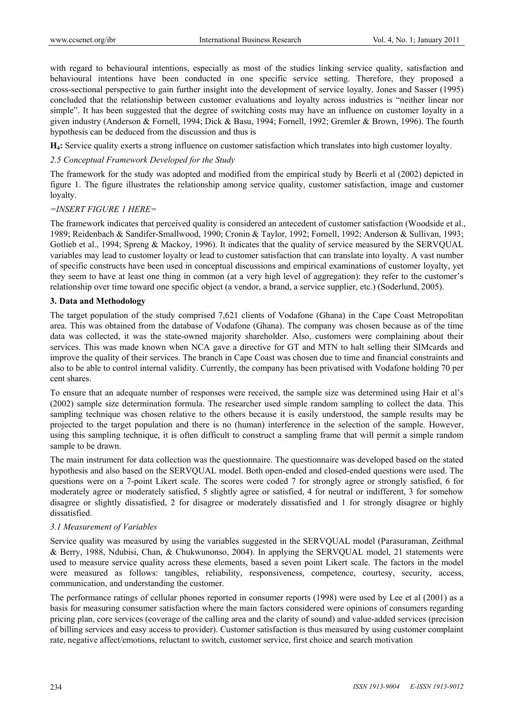with regard to behavioural intentions, especially as most of the studies linking service quality, satisfaction and behavioural intentions have been conducted in one specific service setting. Therefore, they proposed a cross-sectional perspective to gain further insight into the development of service loyalty. Jones and Sasser (1995) concluded that the relationship between customer evaluations and loyalty across industries is "neither linear nor simple". It has been suggested that the degree of switching costs may have an influence on customer loyalty in a given industry (Anderson & Fornell, 1994; Dick & Basu, 1994; Fornell, 1992; Gremler & Brown, 1996). The fourth hypothesis can be deduced from the discussion and thus is

**H4:** Service quality exerts a strong influence on customer satisfaction which translates into high customer loyalty.

#### *2.5 Conceptual Framework Developed for the Study*

The framework for the study was adopted and modified from the empirical study by Beerli et al (2002) depicted in figure 1. The figure illustrates the relationship among service quality, customer satisfaction, image and customer loyalty.

#### *=INSERT FIGURE 1 HERE=*

The framework indicates that perceived quality is considered an antecedent of customer satisfaction (Woodside et al., 1989; Reidenbach & Sandifer-Smallwood, 1990; Cronin & Taylor, 1992; Fornell, 1992; Anderson & Sullivan, 1993; Gotlieb et al., 1994; Spreng & Mackoy, 1996). It indicates that the quality of service measured by the SERVOUAL variables may lead to customer loyalty or lead to customer satisfaction that can translate into loyalty. A vast number of specific constructs have been used in conceptual discussions and empirical examinations of customer loyalty, yet they seem to have at least one thing in common (at a very high level of aggregation): they refer to the customer's relationship over time toward one specific object (a vendor, a brand, a service supplier, etc.) (Soderlund, 2005).

#### **3. Data and Methodology**

The target population of the study comprised 7,621 clients of Vodafone (Ghana) in the Cape Coast Metropolitan area. This was obtained from the database of Vodafone (Ghana). The company was chosen because as of the time data was collected, it was the state-owned majority shareholder. Also, customers were complaining about their services. This was made known when NCA gave a directive for GT and MTN to halt selling their SIMcards and improve the quality of their services. The branch in Cape Coast was chosen due to time and financial constraints and also to be able to control internal validity. Currently, the company has been privatised with Vodafone holding 70 per cent shares.

To ensure that an adequate number of responses were received, the sample size was determined using Hair et al's (2002) sample size determination formula. The researcher used simple random sampling to collect the data. This sampling technique was chosen relative to the others because it is easily understood, the sample results may be projected to the target population and there is no (human) interference in the selection of the sample. However, using this sampling technique, it is often difficult to construct a sampling frame that will permit a simple random sample to be drawn.

The main instrument for data collection was the questionnaire. The questionnaire was developed based on the stated hypothesis and also based on the SERVQUAL model. Both open-ended and closed-ended questions were used. The questions were on a 7-point Likert scale. The scores were coded 7 for strongly agree or strongly satisfied, 6 for moderately agree or moderately satisfied, 5 slightly agree or satisfied, 4 for neutral or indifferent, 3 for somehow disagree or slightly dissatisfied, 2 for disagree or moderately dissatisfied and 1 for strongly disagree or highly dissatisfied.

#### *3.1 Measurement of Variables*

Service quality was measured by using the variables suggested in the SERVQUAL model (Parasuraman, Zeithmal & Berry, 1988, Ndubisi, Chan, & Chukwunonso, 2004). In applying the SERVQUAL model, 21 statements were used to measure service quality across these elements, based a seven point Likert scale. The factors in the model were measured as follows: tangibles, reliability, responsiveness, competence, courtesy, security, access, communication, and understanding the customer.

The performance ratings of cellular phones reported in consumer reports (1998) were used by Lee et al (2001) as a basis for measuring consumer satisfaction where the main factors considered were opinions of consumers regarding pricing plan, core services (coverage of the calling area and the clarity of sound) and value-added services (precision of billing services and easy access to provider). Customer satisfaction is thus measured by using customer complaint rate, negative affect/emotions, reluctant to switch, customer service, first choice and search motivation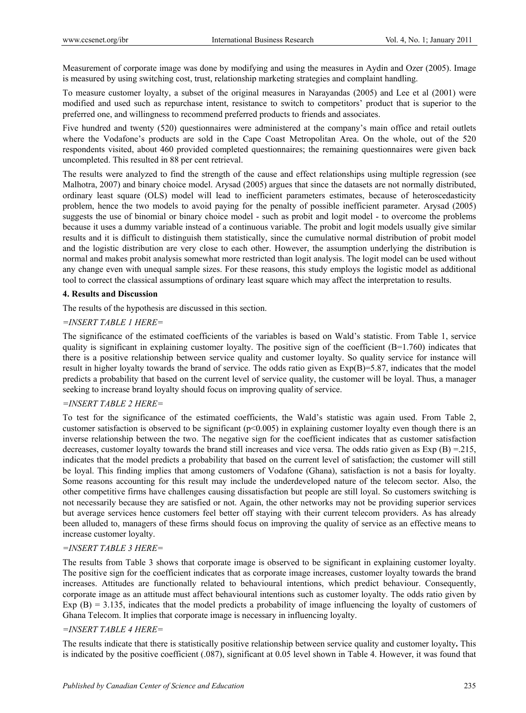Measurement of corporate image was done by modifying and using the measures in Aydin and Ozer (2005). Image is measured by using switching cost, trust, relationship marketing strategies and complaint handling.

To measure customer loyalty, a subset of the original measures in Narayandas (2005) and Lee et al (2001) were modified and used such as repurchase intent, resistance to switch to competitors' product that is superior to the preferred one, and willingness to recommend preferred products to friends and associates.

Five hundred and twenty (520) questionnaires were administered at the company's main office and retail outlets where the Vodafone's products are sold in the Cape Coast Metropolitan Area. On the whole, out of the 520 respondents visited, about 460 provided completed questionnaires; the remaining questionnaires were given back uncompleted. This resulted in 88 per cent retrieval.

The results were analyzed to find the strength of the cause and effect relationships using multiple regression (see Malhotra, 2007) and binary choice model. Arysad (2005) argues that since the datasets are not normally distributed, ordinary least square (OLS) model will lead to inefficient parameters estimates, because of heteroscedasticity problem, hence the two models to avoid paying for the penalty of possible inefficient parameter. Arysad (2005) suggests the use of binomial or binary choice model - such as probit and logit model - to overcome the problems because it uses a dummy variable instead of a continuous variable. The probit and logit models usually give similar results and it is difficult to distinguish them statistically, since the cumulative normal distribution of probit model and the logistic distribution are very close to each other. However, the assumption underlying the distribution is normal and makes probit analysis somewhat more restricted than logit analysis. The logit model can be used without any change even with unequal sample sizes. For these reasons, this study employs the logistic model as additional tool to correct the classical assumptions of ordinary least square which may affect the interpretation to results.

## **4. Results and Discussion**

The results of the hypothesis are discussed in this section.

# *=INSERT TABLE 1 HERE=*

The significance of the estimated coefficients of the variables is based on Wald's statistic. From Table 1, service quality is significant in explaining customer loyalty. The positive sign of the coefficient  $(B=1.760)$  indicates that there is a positive relationship between service quality and customer loyalty. So quality service for instance will result in higher loyalty towards the brand of service. The odds ratio given as Exp(B)=5.87, indicates that the model predicts a probability that based on the current level of service quality, the customer will be loyal. Thus, a manager seeking to increase brand loyalty should focus on improving quality of service.

## *=INSERT TABLE 2 HERE=*

To test for the significance of the estimated coefficients, the Wald's statistic was again used. From Table 2, customer satisfaction is observed to be significant  $(p<0.005)$  in explaining customer loyalty even though there is an inverse relationship between the two. The negative sign for the coefficient indicates that as customer satisfaction decreases, customer loyalty towards the brand still increases and vice versa. The odds ratio given as  $Exp(B) = 215$ , indicates that the model predicts a probability that based on the current level of satisfaction; the customer will still be loyal. This finding implies that among customers of Vodafone (Ghana), satisfaction is not a basis for loyalty. Some reasons accounting for this result may include the underdeveloped nature of the telecom sector. Also, the other competitive firms have challenges causing dissatisfaction but people are still loyal. So customers switching is not necessarily because they are satisfied or not. Again, the other networks may not be providing superior services but average services hence customers feel better off staying with their current telecom providers. As has already been alluded to, managers of these firms should focus on improving the quality of service as an effective means to increase customer loyalty.

# *=INSERT TABLE 3 HERE=*

The results from Table 3 shows that corporate image is observed to be significant in explaining customer loyalty. The positive sign for the coefficient indicates that as corporate image increases, customer loyalty towards the brand increases. Attitudes are functionally related to behavioural intentions, which predict behaviour. Consequently, corporate image as an attitude must affect behavioural intentions such as customer loyalty. The odds ratio given by Exp  $(B) = 3.135$ , indicates that the model predicts a probability of image influencing the loyalty of customers of Ghana Telecom. It implies that corporate image is necessary in influencing loyalty.

## *=INSERT TABLE 4 HERE=*

The results indicate that there is statistically positive relationship between service quality and customer loyalty**.** This is indicated by the positive coefficient (.087), significant at 0.05 level shown in Table 4. However, it was found that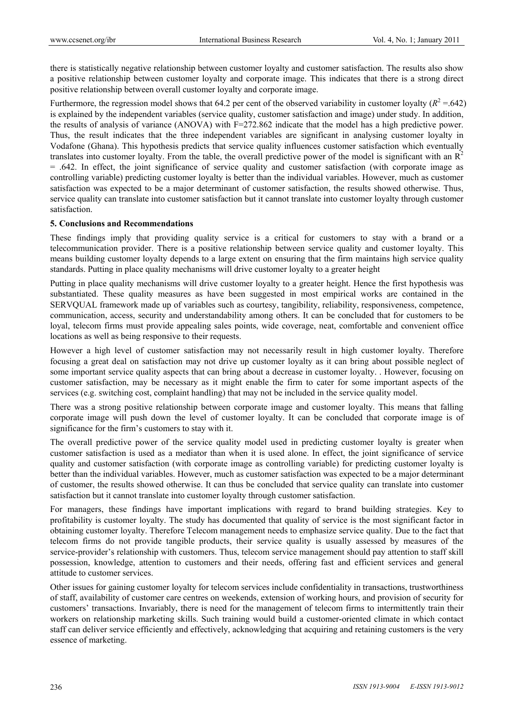there is statistically negative relationship between customer loyalty and customer satisfaction. The results also show a positive relationship between customer loyalty and corporate image. This indicates that there is a strong direct positive relationship between overall customer loyalty and corporate image.

Furthermore, the regression model shows that 64.2 per cent of the observed variability in customer loyalty  $(R^2 = 642)$ is explained by the independent variables (service quality, customer satisfaction and image) under study. In addition, the results of analysis of variance (ANOVA) with F=272.862 indicate that the model has a high predictive power. Thus, the result indicates that the three independent variables are significant in analysing customer loyalty in Vodafone (Ghana). This hypothesis predicts that service quality influences customer satisfaction which eventually translates into customer loyalty. From the table, the overall predictive power of the model is significant with an  $R<sup>2</sup>$ = .642. In effect, the joint significance of service quality and customer satisfaction (with corporate image as controlling variable) predicting customer loyalty is better than the individual variables. However, much as customer satisfaction was expected to be a major determinant of customer satisfaction, the results showed otherwise. Thus, service quality can translate into customer satisfaction but it cannot translate into customer loyalty through customer satisfaction.

#### **5. Conclusions and Recommendations**

These findings imply that providing quality service is a critical for customers to stay with a brand or a telecommunication provider. There is a positive relationship between service quality and customer loyalty. This means building customer loyalty depends to a large extent on ensuring that the firm maintains high service quality standards. Putting in place quality mechanisms will drive customer loyalty to a greater height

Putting in place quality mechanisms will drive customer loyalty to a greater height. Hence the first hypothesis was substantiated. These quality measures as have been suggested in most empirical works are contained in the SERVQUAL framework made up of variables such as courtesy, tangibility, reliability, responsiveness, competence, communication, access, security and understandability among others. It can be concluded that for customers to be loyal, telecom firms must provide appealing sales points, wide coverage, neat, comfortable and convenient office locations as well as being responsive to their requests.

However a high level of customer satisfaction may not necessarily result in high customer loyalty. Therefore focusing a great deal on satisfaction may not drive up customer loyalty as it can bring about possible neglect of some important service quality aspects that can bring about a decrease in customer loyalty. . However, focusing on customer satisfaction, may be necessary as it might enable the firm to cater for some important aspects of the services (e.g. switching cost, complaint handling) that may not be included in the service quality model.

There was a strong positive relationship between corporate image and customer loyalty. This means that falling corporate image will push down the level of customer loyalty. It can be concluded that corporate image is of significance for the firm's customers to stay with it.

The overall predictive power of the service quality model used in predicting customer loyalty is greater when customer satisfaction is used as a mediator than when it is used alone. In effect, the joint significance of service quality and customer satisfaction (with corporate image as controlling variable) for predicting customer loyalty is better than the individual variables. However, much as customer satisfaction was expected to be a major determinant of customer, the results showed otherwise. It can thus be concluded that service quality can translate into customer satisfaction but it cannot translate into customer loyalty through customer satisfaction.

For managers, these findings have important implications with regard to brand building strategies. Key to profitability is customer loyalty. The study has documented that quality of service is the most significant factor in obtaining customer loyalty. Therefore Telecom management needs to emphasize service quality. Due to the fact that telecom firms do not provide tangible products, their service quality is usually assessed by measures of the service-provider's relationship with customers. Thus, telecom service management should pay attention to staff skill possession, knowledge, attention to customers and their needs, offering fast and efficient services and general attitude to customer services.

Other issues for gaining customer loyalty for telecom services include confidentiality in transactions, trustworthiness of staff, availability of customer care centres on weekends, extension of working hours, and provision of security for customers' transactions. Invariably, there is need for the management of telecom firms to intermittently train their workers on relationship marketing skills. Such training would build a customer-oriented climate in which contact staff can deliver service efficiently and effectively, acknowledging that acquiring and retaining customers is the very essence of marketing.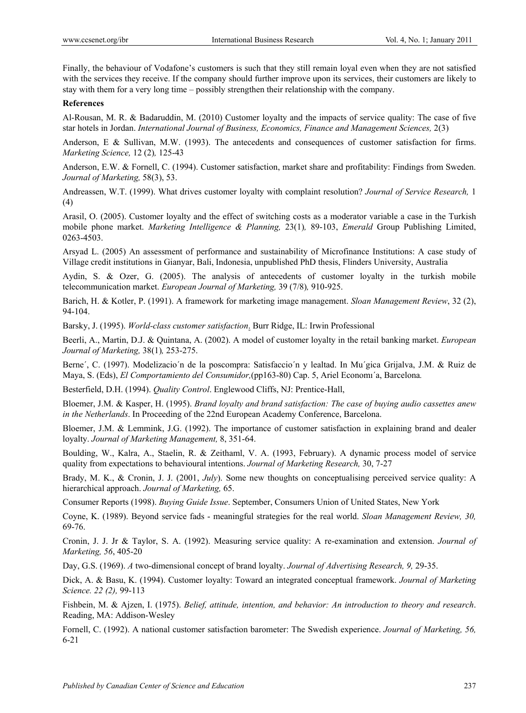Finally, the behaviour of Vodafone's customers is such that they still remain loyal even when they are not satisfied with the services they receive. If the company should further improve upon its services, their customers are likely to stay with them for a very long time – possibly strengthen their relationship with the company.

## **References**

Al-Rousan, M. R. & Badaruddin, M. (2010) Customer loyalty and the impacts of service quality: The case of five star hotels in Jordan. *International Journal of Business, Economics, Finance and Management Sciences,* 2(3)

Anderson, E & Sullivan, M.W. (1993). The antecedents and consequences of customer satisfaction for firms. *Marketing Science,* 12 (2)*,* 125-43

Anderson, E.W. & Fornell, C. (1994). Customer satisfaction, market share and profitability: Findings from Sweden. *Journal of Marketing,* 58(3), 53.

Andreassen, W.T. (1999). What drives customer loyalty with complaint resolution? *Journal of Service Research,* 1 (4)

Arasil, O. (2005). Customer loyalty and the effect of switching costs as a moderator variable a case in the Turkish mobile phone market. *Marketing Intelligence & Planning,* 23(1)*,* 89-103, *Emerald* Group Publishing Limited, 0263-4503.

Arsyad L. (2005) An assessment of performance and sustainability of Microfinance Institutions: A case study of Village credit institutions in Gianyar, Bali, Indonesia, unpublished PhD thesis, Flinders University, Australia

Aydin, S. & Ozer, G. (2005). The analysis of antecedents of customer loyalty in the turkish mobile telecommunication market. *European Journal of Marketing,* 39 (7/8)*,* 910-925.

Barich, H. & Kotler, P. (1991). A framework for marketing image management. *Sloan Management Review*, 32 (2), 94-104.

Barsky, J. (1995). *World-class customer satisfaction*. Burr Ridge, IL: Irwin Professional

Beerli, A., Martin, D.J. & Quintana, A. (2002). A model of customer loyalty in the retail banking market. *European Journal of Marketing,* 38(1)*,* 253-275.

Berne´, C. (1997). Modelizacio´n de la poscompra: Satisfaccio´n y lealtad. In Mu´gica Grijalva, J.M. & Ruiz de Maya, S. (Eds), *El Comportamiento del Consumidor,*(pp163-80) Cap. 5, Ariel Economı´a, Barcelona*.*

Besterfield, D.H. (1994). *Quality Control*. Englewood Cliffs, NJ: Prentice-Hall,

Bloemer, J.M. & Kasper, H. (1995). *Brand loyalty and brand satisfaction: The case of buying audio cassettes anew in the Netherlands*. In Proceeding of the 22nd European Academy Conference, Barcelona.

Bloemer, J.M. & Lemmink, J.G. (1992). The importance of customer satisfaction in explaining brand and dealer loyalty. *Journal of Marketing Management,* 8, 351-64.

Boulding, W., Kalra, A., Staelin, R. & Zeithaml, V. A. (1993, February). A dynamic process model of service quality from expectations to behavioural intentions. *Journal of Marketing Research,* 30, 7-27

Brady, M. K., & Cronin, J. J. (2001, *July*). Some new thoughts on conceptualising perceived service quality: A hierarchical approach. *Journal of Marketing,* 65.

Consumer Reports (1998). *Buying Guide Issue*. September, Consumers Union of United States, New York

Coyne, K. (1989). Beyond service fads - meaningful strategies for the real world. *Sloan Management Review, 30,*  69-76.

Cronin, J. J. Jr & Taylor, S. A. (1992). Measuring service quality: A re-examination and extension. *Journal of Marketing, 56*, 405-20

Day, G.S. (1969). *A* two-dimensional concept of brand loyalty. *Journal of Advertising Research, 9,* 29-35.

Dick, A. & Basu, K. (1994). Customer loyalty: Toward an integrated conceptual framework. *Journal of Marketing Science. 22 (2),* 99-113

Fishbein, M. & Ajzen, I. (1975). *Belief, attitude, intention, and behavior: An introduction to theory and research*. Reading, MA: Addison-Wesley

Fornell, C. (1992). A national customer satisfaction barometer: The Swedish experience. *Journal of Marketing, 56,* 6-21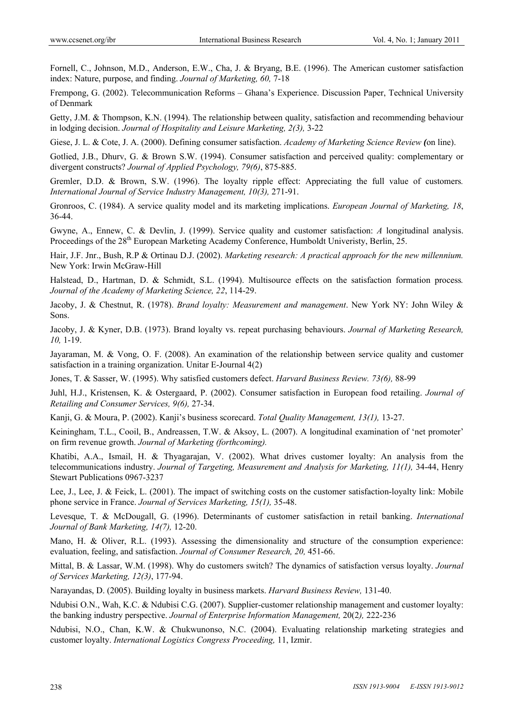Fornell, C., Johnson, M.D., Anderson, E.W., Cha, J. & Bryang, B.E. (1996). The American customer satisfaction index: Nature, purpose, and finding. *Journal of Marketing, 60,* 7-18

Frempong, G. (2002). Telecommunication Reforms – Ghana's Experience. Discussion Paper, Technical University of Denmark

Getty, J.M. & Thompson, K.N. (1994). The relationship between quality, satisfaction and recommending behaviour in lodging decision. *Journal of Hospitality and Leisure Marketing, 2(3),* 3-22

Giese, J. L. & Cote, J. A. (2000). Defining consumer satisfaction. *Academy of Marketing Science Review (*on line).

Gotlied, J.B., Dhurv, G. & Brown S.W. (1994). Consumer satisfaction and perceived quality: complementary or divergent constructs? *Journal of Applied Psychology, 79(6)*, 875-885.

Gremler, D.D. & Brown, S.W. (1996). The loyalty ripple effect: Appreciating the full value of customers*. International Journal of Service Industry Management, 10(3),* 271-91.

Gronroos, C. (1984). A service quality model and its marketing implications. *European Journal of Marketing, 18*, 36-44.

Gwyne, A., Ennew, C. & Devlin, J. (1999). Service quality and customer satisfaction: *A* longitudinal analysis. Proceedings of the 28<sup>th</sup> European Marketing Academy Conference, Humboldt Univeristy, Berlin, 25.

Hair, J.F. Jnr., Bush, R.P & Ortinau D.J. (2002). *Marketing research: A practical approach for the new millennium.* New York: Irwin McGraw-Hill

Halstead, D., Hartman, D. & Schmidt, S.L. (1994). Multisource effects on the satisfaction formation process*. Journal of the Academy of Marketing Science, 22*, 114-29.

Jacoby, J. & Chestnut, R. (1978). *Brand loyalty: Measurement and management*. New York NY: John Wiley & Sons.

Jacoby, J. & Kyner, D.B. (1973). Brand loyalty vs. repeat purchasing behaviours. *Journal of Marketing Research, 10,* 1-19.

Jayaraman, M. & Vong, O. F. (2008). An examination of the relationship between service quality and customer satisfaction in a training organization. Unitar E-Journal 4(2)

Jones, T. & Sasser, W. (1995). Why satisfied customers defect. *Harvard Business Review. 73(6),* 88-99

Juhl, H.J., Kristensen, K. & Ostergaard, P. (2002). Consumer satisfaction in European food retailing. *Journal of Retailing and Consumer Services, 9(6),* 27-34.

Kanji, G. & Moura, P. (2002). Kanji's business scorecard. *Total Quality Management, 13(1),* 13-27.

Keiningham, T.L., Cooil, B., Andreassen, T.W. & Aksoy, L. (2007). A longitudinal examination of 'net promoter' on firm revenue growth. *Journal of Marketing (forthcoming).* 

Khatibi, A.A., Ismail, H. & Thyagarajan, V. (2002). What drives customer loyalty: An analysis from the telecommunications industry. *Journal of Targeting, Measurement and Analysis for Marketing, 11(1),* 34-44, Henry Stewart Publications 0967-3237

Lee, J., Lee, J. & Feick, L. (2001). The impact of switching costs on the customer satisfaction-loyalty link: Mobile phone service in France. *Journal of Services Marketing, 15(1),* 35-48.

Levesque, T. & McDougall, G. (1996). Determinants of customer satisfaction in retail banking. *International Journal of Bank Marketing, 14(7),* 12-20.

Mano, H. & Oliver, R.L. (1993). Assessing the dimensionality and structure of the consumption experience: evaluation, feeling, and satisfaction. *Journal of Consumer Research, 20,* 451-66.

Mittal, B. & Lassar, W.M. (1998). Why do customers switch? The dynamics of satisfaction versus loyalty. *Journal of Services Marketing, 12(3)*, 177-94.

Narayandas, D. (2005). Building loyalty in business markets. *Harvard Business Review,* 131-40.

Ndubisi O.N., Wah, K.C. & Ndubisi C.G. (2007). Supplier-customer relationship management and customer loyalty: the banking industry perspective. *Journal of Enterprise Information Management,* 20(2*),* 222-236

Ndubisi, N.O., Chan, K.W. & Chukwunonso, N.C. (2004). Evaluating relationship marketing strategies and customer loyalty. *International Logistics Congress Proceeding,* 11, Izmir.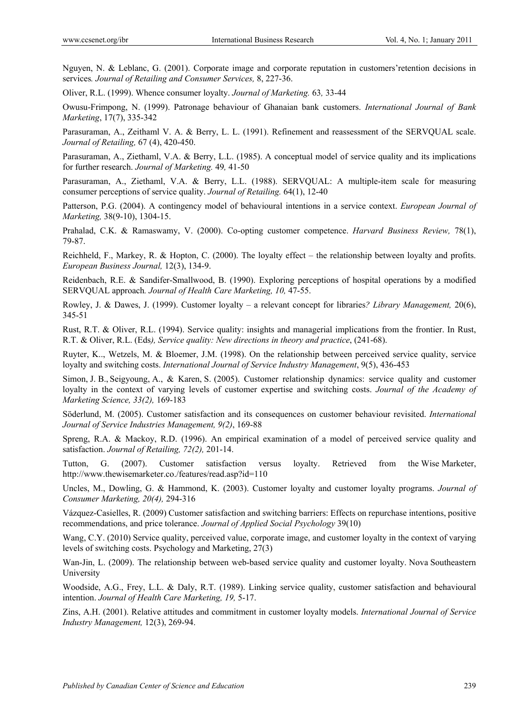Nguyen, N. & Leblanc, G. (2001). Corporate image and corporate reputation in customers'retention decisions in services*. Journal of Retailing and Consumer Services,* 8, 227-36.

Oliver, R.L. (1999). Whence consumer loyalty. *Journal of Marketing.* 63*,* 33-44

Owusu-Frimpong, N. (1999). Patronage behaviour of Ghanaian bank customers. *International Journal of Bank Marketing*, 17(7), 335-342

Parasuraman, A., Zeithaml V. A. & Berry, L. L. (1991). Refinement and reassessment of the SERVQUAL scale. *Journal of Retailing,* 67 (4), 420-450.

Parasuraman, A., Ziethaml, V.A. & Berry, L.L. (1985). A conceptual model of service quality and its implications for further research. *Journal of Marketing.* 49*,* 41-50

Parasuraman, A., Ziethaml, V.A. & Berry, L.L. (1988). SERVQUAL: A multiple-item scale for measuring consumer perceptions of service quality. *Journal of Retailing.* 64(1), 12-40

Patterson, P.G. (2004). A contingency model of behavioural intentions in a service context. *European Journal of Marketing,* 38(9-10), 1304-15.

Prahalad, C.K. & Ramaswamy, V. (2000). Co-opting customer competence. *Harvard Business Review,* 78(1), 79-87.

Reichheld, F., Markey, R. & Hopton, C. (2000). The loyalty effect – the relationship between loyalty and profits. *European Business Journal,* 12(3), 134-9.

Reidenbach, R.E. & Sandifer-Smallwood, B. (1990). Exploring perceptions of hospital operations by a modified SERVQUAL approach*. Journal of Health Care Marketing, 10,* 47-55.

Rowley, J. & Dawes, J. (1999). Customer loyalty – a relevant concept for libraries*? Library Management,* 20(6), 345-51

Rust, R.T. & Oliver, R.L. (1994). Service quality: insights and managerial implications from the frontier. In Rust, R.T. & Oliver, R.L. (Eds*), Service quality: New directions in theory and practice*, (241-68).

Ruyter, K.., Wetzels, M. & Bloemer, J.M. (1998). On the relationship between perceived service quality, service loyalty and switching costs. *International Journal of Service Industry Management*, 9(5), 436-453

Simon, J. B., Seigyoung, A., & Karen, S. (2005). Customer relationship dynamics: service quality and customer loyalty in the context of varying levels of customer expertise and switching costs. *Journal of the Academy of Marketing Science, 33(2),* 169-183

Söderlund, M. (2005). Customer satisfaction and its consequences on customer behaviour revisited. *International Journal of Service Industries Management, 9(2)*, 169-88

Spreng, R.A. & Mackoy, R.D. (1996). An empirical examination of a model of perceived service quality and satisfaction. *Journal of Retailing, 72(2),* 201-14.

Tutton, G. (2007). Customer satisfaction versus loyalty. Retrieved from the Wise Marketer, http://www.thewisemarketer.co./features/read.asp?id=110

Uncles, M., Dowling, G. & Hammond, K. (2003). Customer loyalty and customer loyalty programs. *Journal of Consumer Marketing, 20(4),* 294-316

Vázquez-Casielles, R. (2009) Customer satisfaction and switching barriers: Effects on repurchase intentions, positive recommendations, and price tolerance. *Journal of Applied Social Psychology* 39(10)

Wang, C.Y. (2010) Service quality, perceived value, corporate image, and customer loyalty in the context of varying levels of switching costs. Psychology and Marketing, 27(3)

Wan-Jin, L. (2009). The relationship between web-based service quality and customer loyalty. Nova Southeastern University

Woodside, A.G., Frey, L.L. & Daly, R.T. (1989). Linking service quality, customer satisfaction and behavioural intention. *Journal of Health Care Marketing, 19,* 5-17.

Zins, A.H. (2001). Relative attitudes and commitment in customer loyalty models. *International Journal of Service Industry Management,* 12(3), 269-94.